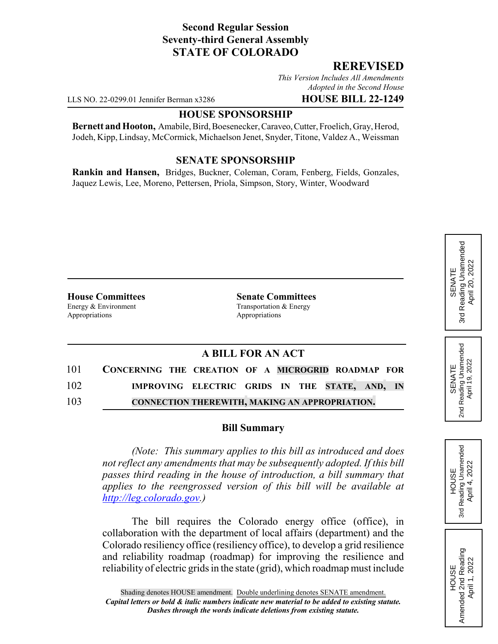## **Second Regular Session Seventy-third General Assembly STATE OF COLORADO**

### **REREVISED**

*This Version Includes All Amendments Adopted in the Second House*

LLS NO. 22-0299.01 Jennifer Berman x3286 **HOUSE BILL 22-1249**

#### **HOUSE SPONSORSHIP**

**Bernett and Hooton,** Amabile, Bird, Boesenecker, Caraveo, Cutter, Froelich, Gray, Herod, Jodeh, Kipp, Lindsay, McCormick, Michaelson Jenet, Snyder, Titone, Valdez A., Weissman

#### **SENATE SPONSORSHIP**

**Rankin and Hansen,** Bridges, Buckner, Coleman, Coram, Fenberg, Fields, Gonzales, Jaquez Lewis, Lee, Moreno, Pettersen, Priola, Simpson, Story, Winter, Woodward

Energy & Environment Transportation & Energy Appropriations Appropriations

**House Committees Senate Committees**

## **A BILL FOR AN ACT**

| 101 | CONCERNING THE CREATION OF A MICROGRID ROADMAP FOR    |  |
|-----|-------------------------------------------------------|--|
| 102 | IMPROVING ELECTRIC GRIDS IN THE STATE, AND, IN        |  |
| 103 | <b>CONNECTION THEREWITH, MAKING AN APPROPRIATION.</b> |  |

#### **Bill Summary**

*(Note: This summary applies to this bill as introduced and does not reflect any amendments that may be subsequently adopted. If this bill passes third reading in the house of introduction, a bill summary that applies to the reengrossed version of this bill will be available at http://leg.colorado.gov.)*

The bill requires the Colorado energy office (office), in collaboration with the department of local affairs (department) and the Colorado resiliency office (resiliency office), to develop a grid resilience and reliability roadmap (roadmap) for improving the resilience and reliability of electric grids in the state (grid), which roadmap must include

Reading Unamended 3rd Reading Unamended April 20, 2022 April 20, 2022 SENATE 3rd

Reading Unamended<br>April 19, 2022 2nd Reading Unamended April 19, 2022 SENATE  $2<sub>nd</sub>$ 

**HOUSE** 3rd Reading Unamended April 4, 2022

Reading Unamended April 4, 2022

3rd

HOUSE<br>Amended 2nd Reading Amended 2nd Reading April 1, 2022

April 1, 2022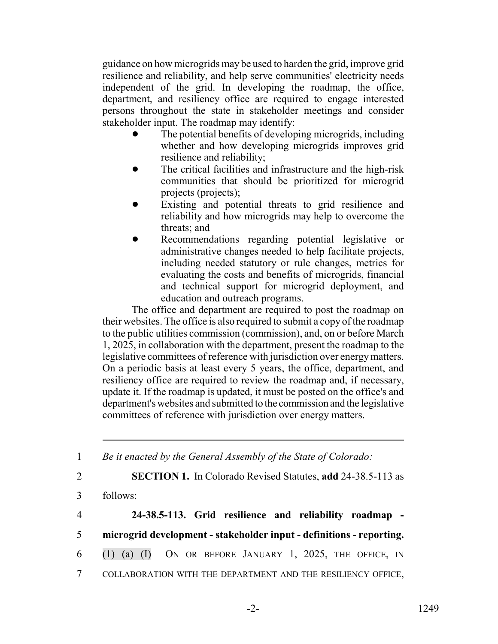guidance on how microgrids may be used to harden the grid, improve grid resilience and reliability, and help serve communities' electricity needs independent of the grid. In developing the roadmap, the office, department, and resiliency office are required to engage interested persons throughout the state in stakeholder meetings and consider stakeholder input. The roadmap may identify:

- The potential benefits of developing microgrids, including whether and how developing microgrids improves grid resilience and reliability;
- The critical facilities and infrastructure and the high-risk communities that should be prioritized for microgrid projects (projects);
- Existing and potential threats to grid resilience and reliability and how microgrids may help to overcome the threats; and
- Recommendations regarding potential legislative or administrative changes needed to help facilitate projects, including needed statutory or rule changes, metrics for evaluating the costs and benefits of microgrids, financial and technical support for microgrid deployment, and education and outreach programs.

The office and department are required to post the roadmap on their websites. The office is also required to submit a copy of the roadmap to the public utilities commission (commission), and, on or before March 1, 2025, in collaboration with the department, present the roadmap to the legislative committees of reference with jurisdiction over energy matters. On a periodic basis at least every 5 years, the office, department, and resiliency office are required to review the roadmap and, if necessary, update it. If the roadmap is updated, it must be posted on the office's and department's websites and submitted to the commission and the legislative committees of reference with jurisdiction over energy matters.

1 *Be it enacted by the General Assembly of the State of Colorado:*

- 2 **SECTION 1.** In Colorado Revised Statutes, **add** 24-38.5-113 as
- 3 follows:

| $\overline{4}$ |                                                                      |  | 24-38.5-113. Grid resilience and reliability roadmap - |  |  |  |
|----------------|----------------------------------------------------------------------|--|--------------------------------------------------------|--|--|--|
| 5 <sup>5</sup> | microgrid development - stakeholder input - definitions - reporting. |  |                                                        |  |  |  |
|                | 6 (1) (a) (I) ON OR BEFORE JANUARY 1, 2025, THE OFFICE, IN           |  |                                                        |  |  |  |

7 COLLABORATION WITH THE DEPARTMENT AND THE RESILIENCY OFFICE,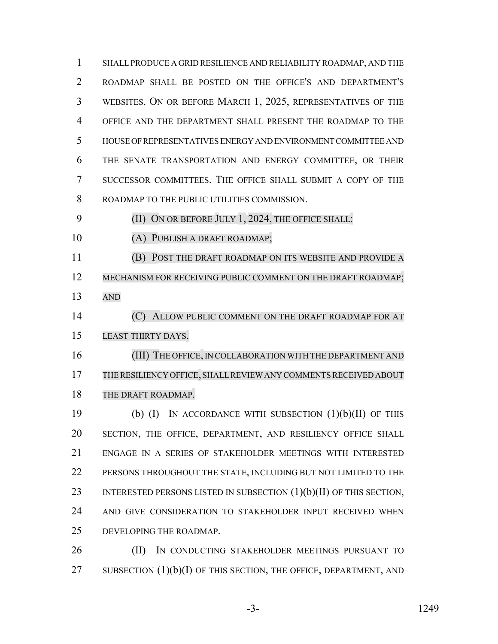SHALL PRODUCE A GRID RESILIENCE AND RELIABILITY ROADMAP, AND THE ROADMAP SHALL BE POSTED ON THE OFFICE'S AND DEPARTMENT'S WEBSITES. ON OR BEFORE MARCH 1, 2025, REPRESENTATIVES OF THE OFFICE AND THE DEPARTMENT SHALL PRESENT THE ROADMAP TO THE HOUSE OF REPRESENTATIVES ENERGY AND ENVIRONMENT COMMITTEE AND THE SENATE TRANSPORTATION AND ENERGY COMMITTEE, OR THEIR SUCCESSOR COMMITTEES. THE OFFICE SHALL SUBMIT A COPY OF THE ROADMAP TO THE PUBLIC UTILITIES COMMISSION.

9 (II) ON OR BEFORE JULY 1, 2024, THE OFFICE SHALL:

(A) PUBLISH A DRAFT ROADMAP;

 (B) POST THE DRAFT ROADMAP ON ITS WEBSITE AND PROVIDE A 12 MECHANISM FOR RECEIVING PUBLIC COMMENT ON THE DRAFT ROADMAP; AND

**(C) ALLOW PUBLIC COMMENT ON THE DRAFT ROADMAP FOR AT** LEAST THIRTY DAYS.

16 (III) THE OFFICE, IN COLLABORATION WITH THE DEPARTMENT AND THERESILIENCY OFFICE, SHALLREVIEWANY COMMENTSRECEIVED ABOUT THE DRAFT ROADMAP.

 (b) (I) IN ACCORDANCE WITH SUBSECTION (1)(b)(II) OF THIS SECTION, THE OFFICE, DEPARTMENT, AND RESILIENCY OFFICE SHALL ENGAGE IN A SERIES OF STAKEHOLDER MEETINGS WITH INTERESTED 22 PERSONS THROUGHOUT THE STATE, INCLUDING BUT NOT LIMITED TO THE 23 INTERESTED PERSONS LISTED IN SUBSECTION  $(1)(b)(II)$  OF THIS SECTION, AND GIVE CONSIDERATION TO STAKEHOLDER INPUT RECEIVED WHEN DEVELOPING THE ROADMAP.

26 (II) IN CONDUCTING STAKEHOLDER MEETINGS PURSUANT TO 27 SUBSECTION  $(1)(b)(I)$  OF THIS SECTION, THE OFFICE, DEPARTMENT, AND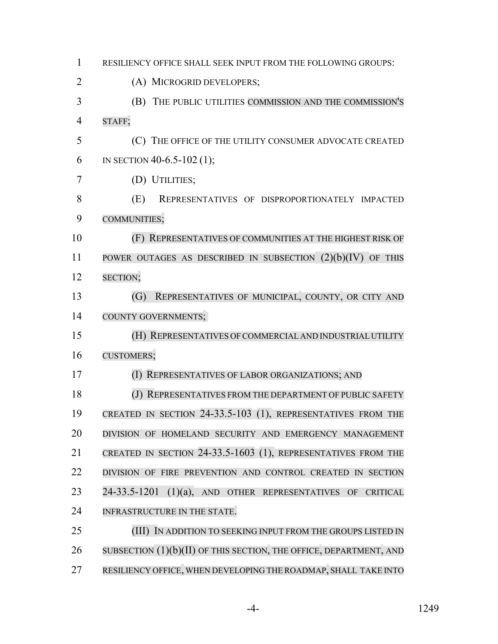| 1              | RESILIENCY OFFICE SHALL SEEK INPUT FROM THE FOLLOWING GROUPS:                 |
|----------------|-------------------------------------------------------------------------------|
| $\overline{2}$ | (A) MICROGRID DEVELOPERS;                                                     |
| 3              | THE PUBLIC UTILITIES COMMISSION AND THE COMMISSION'S<br>(B)                   |
| $\overline{4}$ | STAFF;                                                                        |
| 5              | (C) THE OFFICE OF THE UTILITY CONSUMER ADVOCATE CREATED                       |
| 6              | IN SECTION 40-6.5-102 (1);                                                    |
| 7              | (D) UTILITIES;                                                                |
| 8              | (E)<br>REPRESENTATIVES OF DISPROPORTIONATELY IMPACTED                         |
| 9              | COMMUNITIES;                                                                  |
| 10             | (F) REPRESENTATIVES OF COMMUNITIES AT THE HIGHEST RISK OF                     |
| 11             | POWER OUTAGES AS DESCRIBED IN SUBSECTION $(2)(b)(IV)$ OF THIS                 |
| 12             | SECTION;                                                                      |
| 13             | REPRESENTATIVES OF MUNICIPAL, COUNTY, OR CITY AND<br>(G)                      |
| 14             | <b>COUNTY GOVERNMENTS;</b>                                                    |
| 15             | (H) REPRESENTATIVES OF COMMERCIAL AND INDUSTRIAL UTILITY                      |
| 16             | <b>CUSTOMERS;</b>                                                             |
| 17             | (I) REPRESENTATIVES OF LABOR ORGANIZATIONS; AND                               |
| 18             | REPRESENTATIVES FROM THE DEPARTMENT OF PUBLIC SAFETY<br>(J)                   |
| 19             | CREATED IN SECTION 24-33.5-103 (1), REPRESENTATIVES FROM THE                  |
| 20             | DIVISION OF HOMELAND SECURITY AND EMERGENCY MANAGEMENT                        |
| 21             | CREATED IN SECTION 24-33.5-1603 (1), REPRESENTATIVES FROM THE                 |
| 22             | DIVISION OF FIRE PREVENTION AND CONTROL CREATED IN SECTION                    |
| 23             | 24-33.5-1201<br>(1)(a),<br>AND OTHER REPRESENTATIVES<br><b>CRITICAL</b><br>OF |
| 24             | INFRASTRUCTURE IN THE STATE.                                                  |
| 25             | (III) IN ADDITION TO SEEKING INPUT FROM THE GROUPS LISTED IN                  |
| 26             | SUBSECTION (1)(b)(II) OF THIS SECTION, THE OFFICE, DEPARTMENT, AND            |
| 27             | RESILIENCY OFFICE, WHEN DEVELOPING THE ROADMAP, SHALL TAKE INTO               |

-4- 1249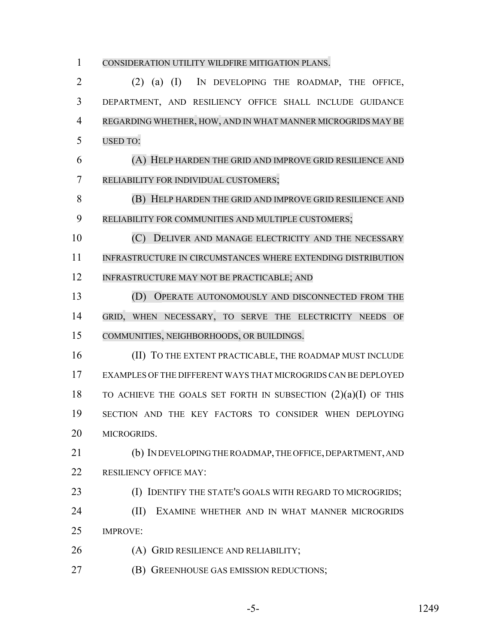# CONSIDERATION UTILITY WILDFIRE MITIGATION PLANS. (2) (a) (I) IN DEVELOPING THE ROADMAP, THE OFFICE, DEPARTMENT, AND RESILIENCY OFFICE SHALL INCLUDE GUIDANCE REGARDING WHETHER, HOW, AND IN WHAT MANNER MICROGRIDS MAY BE USED TO: (A) HELP HARDEN THE GRID AND IMPROVE GRID RESILIENCE AND RELIABILITY FOR INDIVIDUAL CUSTOMERS; (B) HELP HARDEN THE GRID AND IMPROVE GRID RESILIENCE AND RELIABILITY FOR COMMUNITIES AND MULTIPLE CUSTOMERS; 10 (C) DELIVER AND MANAGE ELECTRICITY AND THE NECESSARY 11 INFRASTRUCTURE IN CIRCUMSTANCES WHERE EXTENDING DISTRIBUTION INFRASTRUCTURE MAY NOT BE PRACTICABLE; AND (D) OPERATE AUTONOMOUSLY AND DISCONNECTED FROM THE GRID, WHEN NECESSARY, TO SERVE THE ELECTRICITY NEEDS OF COMMUNITIES, NEIGHBORHOODS, OR BUILDINGS. 16 (II) TO THE EXTENT PRACTICABLE, THE ROADMAP MUST INCLUDE EXAMPLES OF THE DIFFERENT WAYS THAT MICROGRIDS CAN BE DEPLOYED 18 TO ACHIEVE THE GOALS SET FORTH IN SUBSECTION  $(2)(a)(I)$  OF THIS SECTION AND THE KEY FACTORS TO CONSIDER WHEN DEPLOYING MICROGRIDS. (b) IN DEVELOPING THE ROADMAP, THE OFFICE, DEPARTMENT, AND 22 RESILIENCY OFFICE MAY: (I) IDENTIFY THE STATE'S GOALS WITH REGARD TO MICROGRIDS; **(II) EXAMINE WHETHER AND IN WHAT MANNER MICROGRIDS**  IMPROVE: (A) GRID RESILIENCE AND RELIABILITY;

(B) GREENHOUSE GAS EMISSION REDUCTIONS;

$$
-5-
$$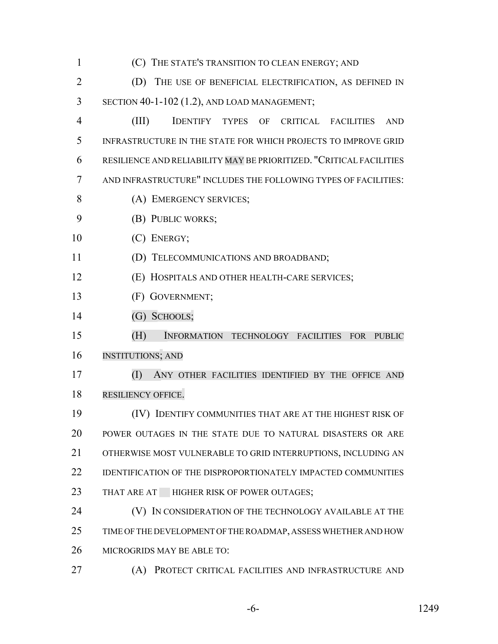| 1              | (C) THE STATE'S TRANSITION TO CLEAN ENERGY; AND                      |
|----------------|----------------------------------------------------------------------|
| $\overline{2}$ | (D) THE USE OF BENEFICIAL ELECTRIFICATION, AS DEFINED IN             |
| 3              | SECTION 40-1-102 (1.2), AND LOAD MANAGEMENT;                         |
| 4              | (III)<br>IDENTIFY TYPES OF CRITICAL FACILITIES<br><b>AND</b>         |
| 5              | INFRASTRUCTURE IN THE STATE FOR WHICH PROJECTS TO IMPROVE GRID       |
| 6              | RESILIENCE AND RELIABILITY MAY BE PRIORITIZED. "CRITICAL FACILITIES  |
| 7              | AND INFRASTRUCTURE" INCLUDES THE FOLLOWING TYPES OF FACILITIES:      |
| 8              | (A) EMERGENCY SERVICES;                                              |
| 9              | (B) PUBLIC WORKS;                                                    |
| 10             | (C) ENERGY;                                                          |
| 11             | (D) TELECOMMUNICATIONS AND BROADBAND;                                |
| 12             | (E) HOSPITALS AND OTHER HEALTH-CARE SERVICES;                        |
| 13             | (F) GOVERNMENT;                                                      |
| 14             | (G) SCHOOLS;                                                         |
| 15             | (H)<br>INFORMATION TECHNOLOGY FACILITIES FOR PUBLIC                  |
| 16             | <b>INSTITUTIONS; AND</b>                                             |
| 17             | (I)<br>ANY OTHER FACILITIES IDENTIFIED BY THE OFFICE AND             |
| 18             | RESILIENCY OFFICE.                                                   |
| 19             | (IV) IDENTIFY COMMUNITIES THAT ARE AT THE HIGHEST RISK OF            |
| 20             | POWER OUTAGES IN THE STATE DUE TO NATURAL DISASTERS OR ARE           |
| 21             | OTHERWISE MOST VULNERABLE TO GRID INTERRUPTIONS, INCLUDING AN        |
| 22             | <b>IDENTIFICATION OF THE DISPROPORTIONATELY IMPACTED COMMUNITIES</b> |
| 23             | THAT ARE AT HIGHER RISK OF POWER OUTAGES;                            |
| 24             | (V) IN CONSIDERATION OF THE TECHNOLOGY AVAILABLE AT THE              |
| 25             | TIME OF THE DEVELOPMENT OF THE ROADMAP, ASSESS WHETHER AND HOW       |
| 26             | MICROGRIDS MAY BE ABLE TO:                                           |
| 27             | PROTECT CRITICAL FACILITIES AND INFRASTRUCTURE AND<br>(A)            |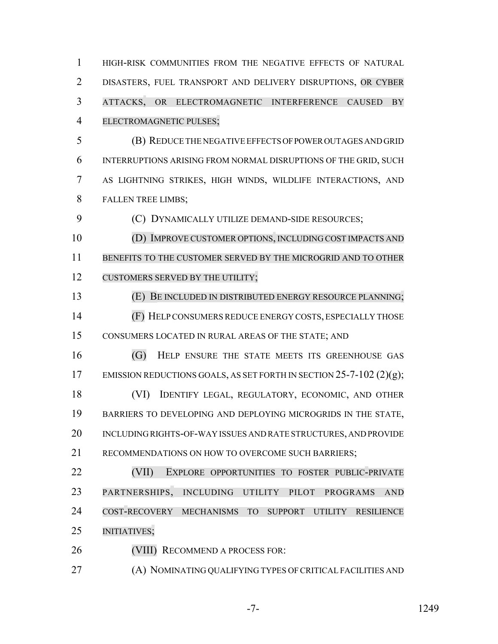HIGH-RISK COMMUNITIES FROM THE NEGATIVE EFFECTS OF NATURAL DISASTERS, FUEL TRANSPORT AND DELIVERY DISRUPTIONS, OR CYBER ATTACKS, OR ELECTROMAGNETIC INTERFERENCE CAUSED BY ELECTROMAGNETIC PULSES;

 (B) REDUCE THE NEGATIVE EFFECTS OF POWER OUTAGES AND GRID INTERRUPTIONS ARISING FROM NORMAL DISRUPTIONS OF THE GRID, SUCH AS LIGHTNING STRIKES, HIGH WINDS, WILDLIFE INTERACTIONS, AND FALLEN TREE LIMBS;

(C) DYNAMICALLY UTILIZE DEMAND-SIDE RESOURCES;

 (D) IMPROVE CUSTOMER OPTIONS, INCLUDING COST IMPACTS AND BENEFITS TO THE CUSTOMER SERVED BY THE MICROGRID AND TO OTHER 12 CUSTOMERS SERVED BY THE UTILITY;

(E) BE INCLUDED IN DISTRIBUTED ENERGY RESOURCE PLANNING;

 (F) HELP CONSUMERS REDUCE ENERGY COSTS, ESPECIALLY THOSE CONSUMERS LOCATED IN RURAL AREAS OF THE STATE; AND

 (G) HELP ENSURE THE STATE MEETS ITS GREENHOUSE GAS 17 EMISSION REDUCTIONS GOALS, AS SET FORTH IN SECTION 25-7-102 (2)(g);

 (VI) IDENTIFY LEGAL, REGULATORY, ECONOMIC, AND OTHER BARRIERS TO DEVELOPING AND DEPLOYING MICROGRIDS IN THE STATE, INCLUDING RIGHTS-OF-WAY ISSUES AND RATE STRUCTURES, AND PROVIDE RECOMMENDATIONS ON HOW TO OVERCOME SUCH BARRIERS;

22 (VII) EXPLORE OPPORTUNITIES TO FOSTER PUBLIC-PRIVATE PARTNERSHIPS, INCLUDING UTILITY PILOT PROGRAMS AND COST-RECOVERY MECHANISMS TO SUPPORT UTILITY RESILIENCE INITIATIVES;

26 (VIII) RECOMMEND A PROCESS FOR:

(A) NOMINATING QUALIFYING TYPES OF CRITICAL FACILITIES AND

-7- 1249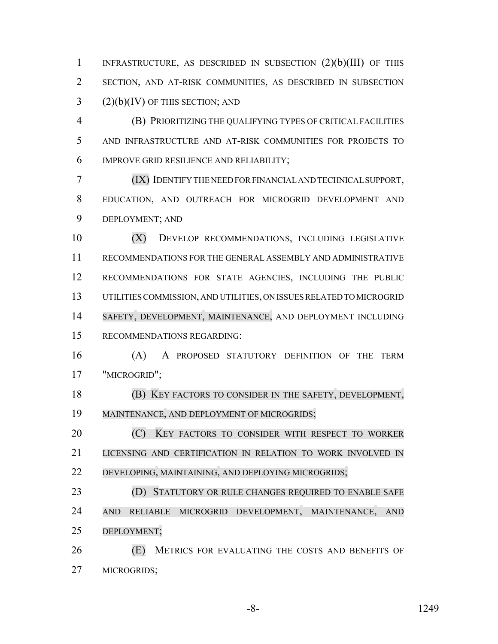INFRASTRUCTURE, AS DESCRIBED IN SUBSECTION (2)(b)(III) OF THIS SECTION, AND AT-RISK COMMUNITIES, AS DESCRIBED IN SUBSECTION (2)(b)(IV) OF THIS SECTION; AND

 (B) PRIORITIZING THE QUALIFYING TYPES OF CRITICAL FACILITIES AND INFRASTRUCTURE AND AT-RISK COMMUNITIES FOR PROJECTS TO IMPROVE GRID RESILIENCE AND RELIABILITY;

 (IX) IDENTIFY THE NEED FOR FINANCIAL AND TECHNICAL SUPPORT, EDUCATION, AND OUTREACH FOR MICROGRID DEVELOPMENT AND DEPLOYMENT; AND

 (X) DEVELOP RECOMMENDATIONS, INCLUDING LEGISLATIVE RECOMMENDATIONS FOR THE GENERAL ASSEMBLY AND ADMINISTRATIVE RECOMMENDATIONS FOR STATE AGENCIES, INCLUDING THE PUBLIC UTILITIES COMMISSION, AND UTILITIES, ON ISSUES RELATED TO MICROGRID SAFETY, DEVELOPMENT, MAINTENANCE, AND DEPLOYMENT INCLUDING RECOMMENDATIONS REGARDING:

 (A) A PROPOSED STATUTORY DEFINITION OF THE TERM "MICROGRID";

 (B) KEY FACTORS TO CONSIDER IN THE SAFETY, DEVELOPMENT, MAINTENANCE, AND DEPLOYMENT OF MICROGRIDS;

**(C)** KEY FACTORS TO CONSIDER WITH RESPECT TO WORKER LICENSING AND CERTIFICATION IN RELATION TO WORK INVOLVED IN DEVELOPING, MAINTAINING, AND DEPLOYING MICROGRIDS;

**(D) STATUTORY OR RULE CHANGES REQUIRED TO ENABLE SAFE**  AND RELIABLE MICROGRID DEVELOPMENT, MAINTENANCE, AND DEPLOYMENT;

 (E) METRICS FOR EVALUATING THE COSTS AND BENEFITS OF MICROGRIDS;

-8- 1249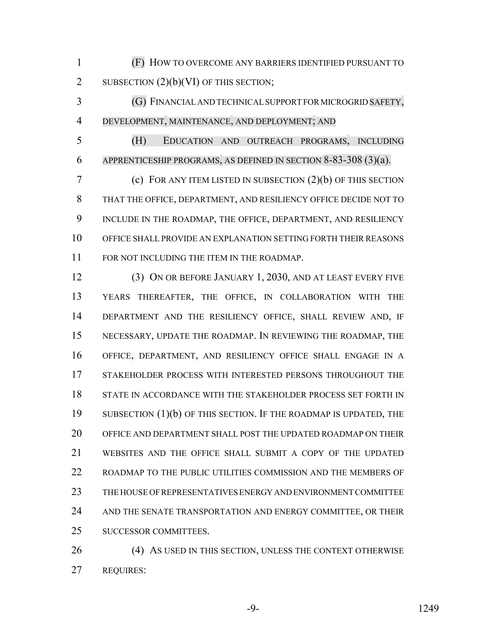(F) HOW TO OVERCOME ANY BARRIERS IDENTIFIED PURSUANT TO 2 SUBSECTION  $(2)(b)(VI)$  OF THIS SECTION;

 (G) FINANCIAL AND TECHNICAL SUPPORT FOR MICROGRID SAFETY, DEVELOPMENT, MAINTENANCE, AND DEPLOYMENT; AND

 (H) EDUCATION AND OUTREACH PROGRAMS, INCLUDING APPRENTICESHIP PROGRAMS, AS DEFINED IN SECTION 8-83-308 (3)(a).

 (c) FOR ANY ITEM LISTED IN SUBSECTION (2)(b) OF THIS SECTION THAT THE OFFICE, DEPARTMENT, AND RESILIENCY OFFICE DECIDE NOT TO INCLUDE IN THE ROADMAP, THE OFFICE, DEPARTMENT, AND RESILIENCY OFFICE SHALL PROVIDE AN EXPLANATION SETTING FORTH THEIR REASONS FOR NOT INCLUDING THE ITEM IN THE ROADMAP.

 (3) ON OR BEFORE JANUARY 1, 2030, AND AT LEAST EVERY FIVE YEARS THEREAFTER, THE OFFICE, IN COLLABORATION WITH THE DEPARTMENT AND THE RESILIENCY OFFICE, SHALL REVIEW AND, IF NECESSARY, UPDATE THE ROADMAP. IN REVIEWING THE ROADMAP, THE OFFICE, DEPARTMENT, AND RESILIENCY OFFICE SHALL ENGAGE IN A STAKEHOLDER PROCESS WITH INTERESTED PERSONS THROUGHOUT THE STATE IN ACCORDANCE WITH THE STAKEHOLDER PROCESS SET FORTH IN 19 SUBSECTION (1)(b) OF THIS SECTION. IF THE ROADMAP IS UPDATED, THE OFFICE AND DEPARTMENT SHALL POST THE UPDATED ROADMAP ON THEIR WEBSITES AND THE OFFICE SHALL SUBMIT A COPY OF THE UPDATED ROADMAP TO THE PUBLIC UTILITIES COMMISSION AND THE MEMBERS OF THE HOUSE OF REPRESENTATIVES ENERGY AND ENVIRONMENT COMMITTEE 24 AND THE SENATE TRANSPORTATION AND ENERGY COMMITTEE, OR THEIR SUCCESSOR COMMITTEES.

26 (4) AS USED IN THIS SECTION, UNLESS THE CONTEXT OTHERWISE REQUIRES:

-9- 1249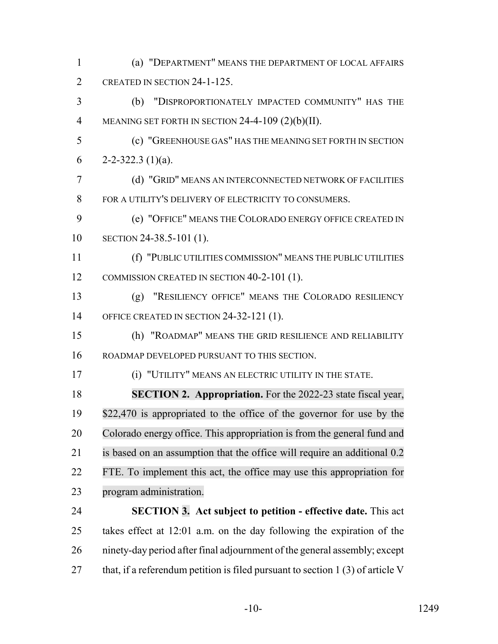- (a) "DEPARTMENT" MEANS THE DEPARTMENT OF LOCAL AFFAIRS 2 CREATED IN SECTION 24-1-125.
- (b) "DISPROPORTIONATELY IMPACTED COMMUNITY" HAS THE MEANING SET FORTH IN SECTION 24-4-109 (2)(b)(II).
- (c) "GREENHOUSE GAS" HAS THE MEANING SET FORTH IN SECTION 6 2-2-322.3 (1)(a).
- (d) "GRID" MEANS AN INTERCONNECTED NETWORK OF FACILITIES FOR A UTILITY'S DELIVERY OF ELECTRICITY TO CONSUMERS.
- (e) "OFFICE" MEANS THE COLORADO ENERGY OFFICE CREATED IN SECTION 24-38.5-101 (1).
- (f) "PUBLIC UTILITIES COMMISSION" MEANS THE PUBLIC UTILITIES 12 COMMISSION CREATED IN SECTION 40-2-101 (1).
- (g) "RESILIENCY OFFICE" MEANS THE COLORADO RESILIENCY OFFICE CREATED IN SECTION 24-32-121 (1).
- (h) "ROADMAP" MEANS THE GRID RESILIENCE AND RELIABILITY ROADMAP DEVELOPED PURSUANT TO THIS SECTION.
- 

(i) "UTILITY" MEANS AN ELECTRIC UTILITY IN THE STATE.

 **SECTION 2. Appropriation.** For the 2022-23 state fiscal year, \$22,470 is appropriated to the office of the governor for use by the Colorado energy office. This appropriation is from the general fund and is based on an assumption that the office will require an additional 0.2 FTE. To implement this act, the office may use this appropriation for program administration.

 **SECTION 3. Act subject to petition - effective date.** This act takes effect at 12:01 a.m. on the day following the expiration of the ninety-day period after final adjournment of the general assembly; except 27 that, if a referendum petition is filed pursuant to section 1 (3) of article V